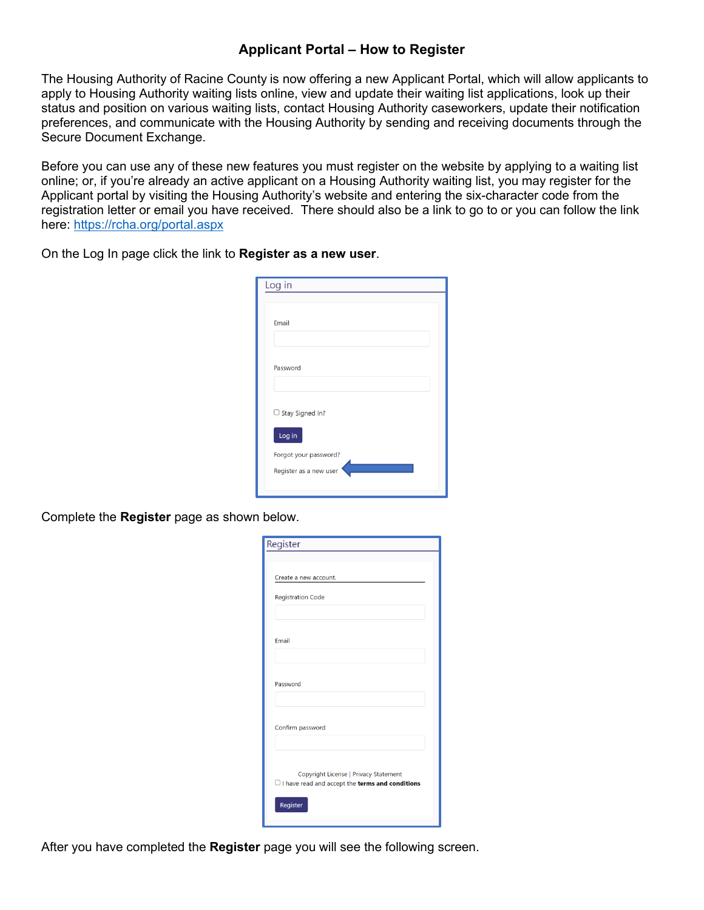## **Applicant Portal – How to Register**

The Housing Authority of Racine County is now offering a new Applicant Portal, which will allow applicants to apply to Housing Authority waiting lists online, view and update their waiting list applications, look up their status and position on various waiting lists, contact Housing Authority caseworkers, update their notification preferences, and communicate with the Housing Authority by sending and receiving documents through the Secure Document Exchange.

Before you can use any of these new features you must register on the website by applying to a waiting list online; or, if you're already an active applicant on a Housing Authority waiting list, you may register for the Applicant portal by visiting the Housing Authority's website and entering the six-character code from the registration letter or email you have received. There should also be a link to go to or you can follow the link here: <https://rcha.org/portal.aspx>

On the Log In page click the link to **Register as a new user**.

| Log in                 |  |
|------------------------|--|
|                        |  |
| Email                  |  |
|                        |  |
| Password               |  |
|                        |  |
| $\Box$ Stay Signed In? |  |
| Log in                 |  |
| Forgot your password?  |  |
| Register as a new user |  |
|                        |  |

Complete the **Register** page as shown below.

| Register                                                                                               |
|--------------------------------------------------------------------------------------------------------|
|                                                                                                        |
| Create a new account.                                                                                  |
| <b>Registration Code</b>                                                                               |
|                                                                                                        |
| Email                                                                                                  |
|                                                                                                        |
| Password                                                                                               |
|                                                                                                        |
| Confirm password                                                                                       |
|                                                                                                        |
| Copyright License   Privacy Statement<br>$\Box$ I have read and accept the <b>terms and conditions</b> |
| Register                                                                                               |
|                                                                                                        |

After you have completed the **Register** page you will see the following screen.